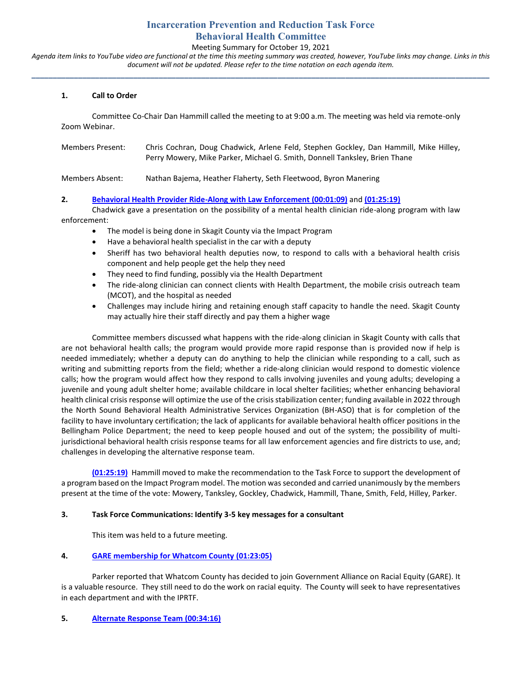# **Incarceration Prevention and Reduction Task Force Behavioral Health Committee**

## Meeting Summary for October 19, 2021

*Agenda item links to YouTube video are functional at the time this meeting summary was created, however, YouTube links may change. Links in this document will not be updated. Please refer to the time notation on each agenda item.* **\_\_\_\_\_\_\_\_\_\_\_\_\_\_\_\_\_\_\_\_\_\_\_\_\_\_\_\_\_\_\_\_\_\_\_\_\_\_\_\_\_\_\_\_\_\_\_\_\_\_\_\_\_\_\_\_\_\_\_\_\_\_\_\_\_\_\_\_\_\_\_\_\_\_\_\_\_\_\_\_\_\_\_\_\_\_\_\_\_\_\_\_\_\_\_\_\_\_\_\_\_\_\_\_\_\_\_\_**

### **1. Call to Order**

Committee Co-Chair Dan Hammill called the meeting to at 9:00 a.m. The meeting was held via remote-only Zoom Webinar.

| Members Present: | Chris Cochran, Doug Chadwick, Arlene Feld, Stephen Gockley, Dan Hammill, Mike Hilley,<br>Perry Mowery, Mike Parker, Michael G. Smith, Donnell Tanksley, Brien Thane |
|------------------|---------------------------------------------------------------------------------------------------------------------------------------------------------------------|
| Members Absent:  | Nathan Bajema, Heather Flaherty, Seth Fleetwood, Byron Manering                                                                                                     |

**2. [Behavioral Health Provider Ride-Along with Law Enforcement](https://youtu.be/9hToNwPx6pE?t=69) (00:01:09)** and **[\(01:25:19\)](https://youtu.be/9hToNwPx6pE?t=5118)**

Chadwick gave a presentation on the possibility of a mental health clinician ride-along program with law enforcement:

- The model is being done in Skagit County via the Impact Program
- Have a behavioral health specialist in the car with a deputy
- Sheriff has two behavioral health deputies now, to respond to calls with a behavioral health crisis component and help people get the help they need
- They need to find funding, possibly via the Health Department
- The ride-along clinician can connect clients with Health Department, the mobile crisis outreach team (MCOT), and the hospital as needed
- Challenges may include hiring and retaining enough staff capacity to handle the need. Skagit County may actually hire their staff directly and pay them a higher wage

Committee members discussed what happens with the ride-along clinician in Skagit County with calls that are not behavioral health calls; the program would provide more rapid response than is provided now if help is needed immediately; whether a deputy can do anything to help the clinician while responding to a call, such as writing and submitting reports from the field; whether a ride-along clinician would respond to domestic violence calls; how the program would affect how they respond to calls involving juveniles and young adults; developing a juvenile and young adult shelter home; available childcare in local shelter facilities; whether enhancing behavioral health clinical crisis response will optimize the use of the crisis stabilization center; funding available in 2022 through the North Sound Behavioral Health Administrative Services Organization (BH-ASO) that is for completion of the facility to have involuntary certification; the lack of applicants for available behavioral health officer positions in the Bellingham Police Department; the need to keep people housed and out of the system; the possibility of multijurisdictional behavioral health crisis response teams for all law enforcement agencies and fire districts to use, and; challenges in developing the alternative response team.

**[\(01:25:19\)](https://youtu.be/9hToNwPx6pE?t=5118)** Hammill moved to make the recommendation to the Task Force to support the development of a program based on the Impact Program model. The motion was seconded and carried unanimously by the members present at the time of the vote: Mowery, Tanksley, Gockley, Chadwick, Hammill, Thane, Smith, Feld, Hilley, Parker.

### **3. Task Force Communications: Identify 3-5 key messages for a consultant**

This item was held to a future meeting.

# **4. [GARE membership for Whatcom County](https://youtu.be/9hToNwPx6pE?t=4983) (01:23:05)**

Parker reported that Whatcom County has decided to join Government Alliance on Racial Equity (GARE). It is a valuable resource. They still need to do the work on racial equity. The County will seek to have representatives in each department and with the IPRTF.

### **5. [Alternate Response Team](https://youtu.be/9hToNwPx6pE?t=2055) (00:34:16)**